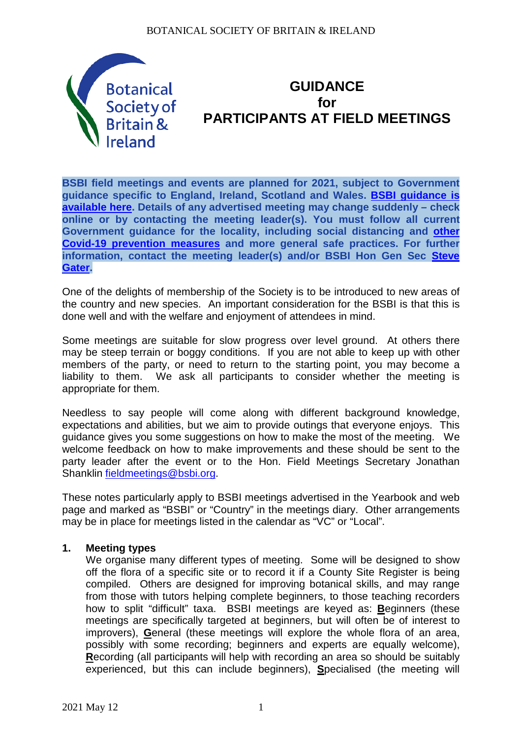

# **GUIDANCE for PARTICIPANTS AT FIELD MEETINGS**

**BSBI field meetings and events are planned for 2021, subject to Government guidance specific to England, Ireland, Scotland and Wales. [BSBI guidance is](https://bsbi.org/field-meetings-and-indoor-events)  [available here.](https://bsbi.org/field-meetings-and-indoor-events) Details of any advertised meeting may change suddenly – check online or by contacting the meeting leader(s). You must follow all current Government guidance for the locality, including social distancing and [other](https://bsbi.org/covid-19-coronavirus)  [Covid-19 prevention measures](https://bsbi.org/covid-19-coronavirus) and more general safe practices. For further information, contact the meeting leader(s) and/or BSBI Hon Gen Sec [Steve](mailto:steve.gater@bsbi.org)  [Gater.](mailto:steve.gater@bsbi.org)**

One of the delights of membership of the Society is to be introduced to new areas of the country and new species. An important consideration for the BSBI is that this is done well and with the welfare and enjoyment of attendees in mind.

Some meetings are suitable for slow progress over level ground. At others there may be steep terrain or boggy conditions. If you are not able to keep up with other members of the party, or need to return to the starting point, you may become a liability to them. We ask all participants to consider whether the meeting is appropriate for them.

Needless to say people will come along with different background knowledge, expectations and abilities, but we aim to provide outings that everyone enjoys. This guidance gives you some suggestions on how to make the most of the meeting. We welcome feedback on how to make improvements and these should be sent to the party leader after the event or to the Hon. Field Meetings Secretary Jonathan Shanklin [fieldmeetings@bsbi.org.](mailto:fieldmeetings@bsbi.org)

These notes particularly apply to BSBI meetings advertised in the Yearbook and web page and marked as "BSBI" or "Country" in the meetings diary. Other arrangements may be in place for meetings listed in the calendar as "VC" or "Local".

## **1. Meeting types**

We organise many different types of meeting. Some will be designed to show off the flora of a specific site or to record it if a County Site Register is being compiled. Others are designed for improving botanical skills, and may range from those with tutors helping complete beginners, to those teaching recorders how to split "difficult" taxa. BSBI meetings are keyed as: **B**eginners (these meetings are specifically targeted at beginners, but will often be of interest to improvers), **G**eneral (these meetings will explore the whole flora of an area, possibly with some recording; beginners and experts are equally welcome), **R**ecording (all participants will help with recording an area so should be suitably experienced, but this can include beginners), **S**pecialised (the meeting will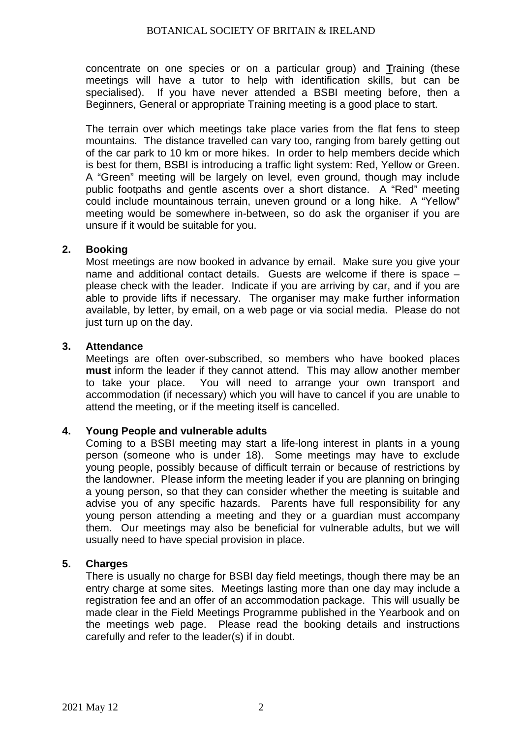concentrate on one species or on a particular group) and **T**raining (these meetings will have a tutor to help with identification skills, but can be specialised). If you have never attended a BSBI meeting before, then a Beginners, General or appropriate Training meeting is a good place to start.

The terrain over which meetings take place varies from the flat fens to steep mountains. The distance travelled can vary too, ranging from barely getting out of the car park to 10 km or more hikes. In order to help members decide which is best for them, BSBI is introducing a traffic light system: Red, Yellow or Green. A "Green" meeting will be largely on level, even ground, though may include public footpaths and gentle ascents over a short distance. A "Red" meeting could include mountainous terrain, uneven ground or a long hike. A "Yellow" meeting would be somewhere in-between, so do ask the organiser if you are unsure if it would be suitable for you.

## **2. Booking**

Most meetings are now booked in advance by email. Make sure you give your name and additional contact details. Guests are welcome if there is space – please check with the leader. Indicate if you are arriving by car, and if you are able to provide lifts if necessary. The organiser may make further information available, by letter, by email, on a web page or via social media. Please do not just turn up on the day.

#### **3. Attendance**

Meetings are often over-subscribed, so members who have booked places **must** inform the leader if they cannot attend. This may allow another member to take vour place. You will need to arrange your own transport and You will need to arrange your own transport and accommodation (if necessary) which you will have to cancel if you are unable to attend the meeting, or if the meeting itself is cancelled.

#### **4. Young People and vulnerable adults**

Coming to a BSBI meeting may start a life-long interest in plants in a young person (someone who is under 18). Some meetings may have to exclude young people, possibly because of difficult terrain or because of restrictions by the landowner. Please inform the meeting leader if you are planning on bringing a young person, so that they can consider whether the meeting is suitable and advise you of any specific hazards. Parents have full responsibility for any young person attending a meeting and they or a guardian must accompany them. Our meetings may also be beneficial for vulnerable adults, but we will usually need to have special provision in place.

#### **5. Charges**

There is usually no charge for BSBI day field meetings, though there may be an entry charge at some sites. Meetings lasting more than one day may include a registration fee and an offer of an accommodation package. This will usually be made clear in the Field Meetings Programme published in the Yearbook and on the meetings web page. Please read the booking details and instructions carefully and refer to the leader(s) if in doubt.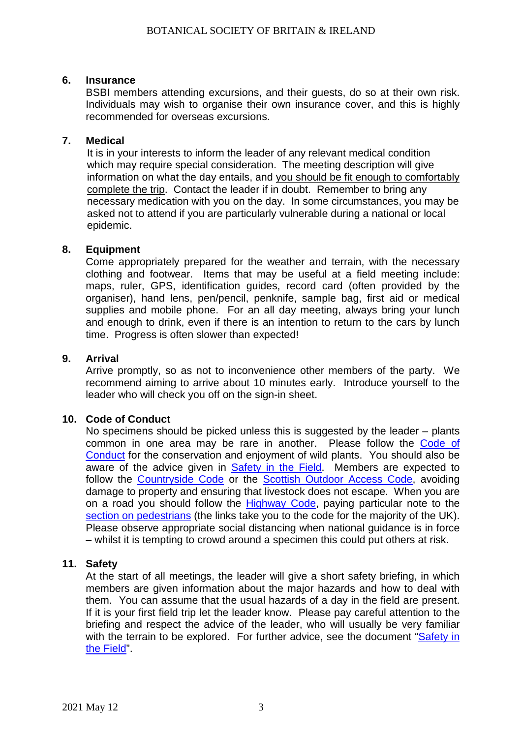## **6. Insurance**

BSBI members attending excursions, and their guests, do so at their own risk. Individuals may wish to organise their own insurance cover, and this is highly recommended for overseas excursions.

## **7. Medical**

It is in your interests to inform the leader of any relevant medical condition which may require special consideration. The meeting description will give information on what the day entails, and you should be fit enough to comfortably complete the trip. Contact the leader if in doubt. Remember to bring any necessary medication with you on the day. In some circumstances, you may be asked not to attend if you are particularly vulnerable during a national or local epidemic.

## **8. Equipment**

Come appropriately prepared for the weather and terrain, with the necessary clothing and footwear. Items that may be useful at a field meeting include: maps, ruler, GPS, identification guides, record card (often provided by the organiser), hand lens, pen/pencil, penknife, sample bag, first aid or medical supplies and mobile phone. For an all day meeting, always bring your lunch and enough to drink, even if there is an intention to return to the cars by lunch time. Progress is often slower than expected!

## **9. Arrival**

Arrive promptly, so as not to inconvenience other members of the party. We recommend aiming to arrive about 10 minutes early. Introduce yourself to the leader who will check you off on the sign-in sheet.

## **10. Code of Conduct**

No specimens should be picked unless this is suggested by the leader – plants common in one area may be rare in another. Please follow the Code of [Conduct](https://bsbi.org/download/8415/) for the conservation and enjoyment of wild plants. You should also be aware of the advice given in **[Safety in the Field.](https://bsbi.org/download/9994/)** Members are expected to follow the [Countryside Code](http://www.naturalengland.org.uk/ourwork/enjoying/countrysidecode/default.aspx) or the [Scottish Outdoor Access Code,](http://www.outdooraccess-scotland.com/) avoiding damage to property and ensuring that livestock does not escape. When you are on a road you should follow the [Highway Code,](https://www.gov.uk/guidance/the-highway-code) paying particular note to the [section on pedestrians](https://www.gov.uk/guidance/the-highway-code/rules-for-pedestrians-1-to-35) (the links take you to the code for the majority of the UK). Please observe appropriate social distancing when national guidance is in force – whilst it is tempting to crowd around a specimen this could put others at risk.

#### **11. Safety**

At the start of all meetings, the leader will give a short safety briefing, in which members are given information about the major hazards and how to deal with them. You can assume that the usual hazards of a day in the field are present. If it is your first field trip let the leader know. Please pay careful attention to the briefing and respect the advice of the leader, who will usually be very familiar with the terrain to be explored. For further advice, see the document "Safety in [the Field"](https://bsbi.org/download/9994/).